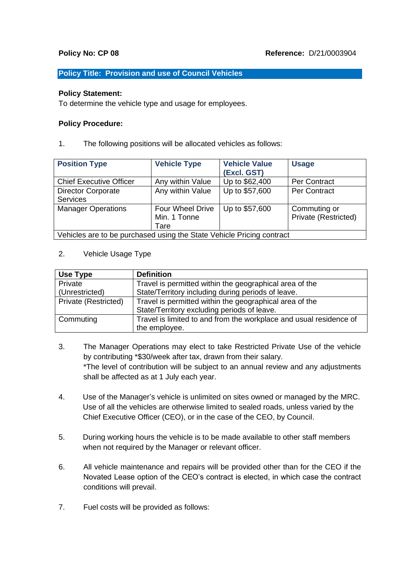# **Policy Title: Provision and use of Council Vehicles**

## **Policy Statement:**

To determine the vehicle type and usage for employees.

# **Policy Procedure:**

1. The following positions will be allocated vehicles as follows:

| <b>Position Type</b>                                                  | <b>Vehicle Type</b>                             | <b>Vehicle Value</b><br>(Excl. GST) | <b>Usage</b>                         |  |
|-----------------------------------------------------------------------|-------------------------------------------------|-------------------------------------|--------------------------------------|--|
| <b>Chief Executive Officer</b>                                        | Any within Value                                | Up to \$62,400                      | <b>Per Contract</b>                  |  |
| <b>Director Corporate</b><br><b>Services</b>                          | Any within Value                                | Up to \$57,600                      | <b>Per Contract</b>                  |  |
| <b>Manager Operations</b>                                             | <b>Four Wheel Drive</b><br>Min. 1 Tonne<br>Tare | Up to \$57,600                      | Commuting or<br>Private (Restricted) |  |
| Vehicles are to be purchased using the State Vehicle Pricing contract |                                                 |                                     |                                      |  |

## 2. Vehicle Usage Type

| Use Type             | <b>Definition</b>                                                  |
|----------------------|--------------------------------------------------------------------|
| Private              | Travel is permitted within the geographical area of the            |
| (Unrestricted)       | State/Territory including during periods of leave.                 |
| Private (Restricted) | Travel is permitted within the geographical area of the            |
|                      | State/Territory excluding periods of leave.                        |
| Commuting            | Travel is limited to and from the workplace and usual residence of |
|                      | the employee.                                                      |

- 3. The Manager Operations may elect to take Restricted Private Use of the vehicle by contributing \*\$30/week after tax, drawn from their salary. \*The level of contribution will be subject to an annual review and any adjustments shall be affected as at 1 July each year.
- 4. Use of the Manager's vehicle is unlimited on sites owned or managed by the MRC. Use of all the vehicles are otherwise limited to sealed roads, unless varied by the Chief Executive Officer (CEO), or in the case of the CEO, by Council.
- 5. During working hours the vehicle is to be made available to other staff members when not required by the Manager or relevant officer.
- 6. All vehicle maintenance and repairs will be provided other than for the CEO if the Novated Lease option of the CEO's contract is elected, in which case the contract conditions will prevail.
- 7. Fuel costs will be provided as follows: